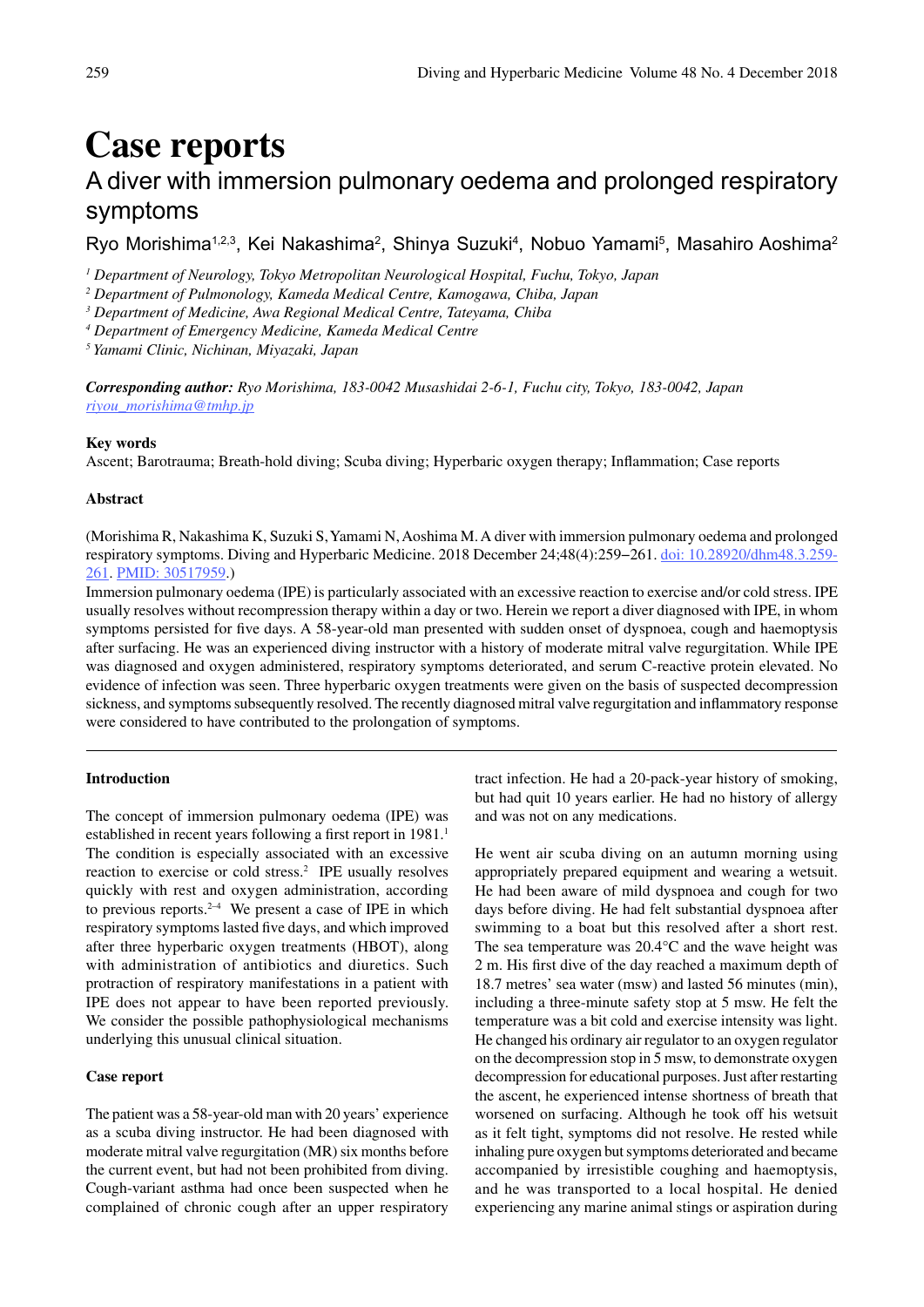# **Case reports**

# A diver with immersion pulmonary oedema and prolonged respiratory symptoms

Ryo Morishima $^{\text{1,2,3}},$  Kei Nakashima $^{\text{2}},$  Shinya Suzuki $^{\text{4}},$  Nobuo Yamami $^{\text{5}},$  Masahiro Aoshima $^{\text{2}}$ 

*1 Department of Neurology, Tokyo Metropolitan Neurological Hospital, Fuchu, Tokyo, Japan*

*2 Department of Pulmonology, Kameda Medical Centre, Kamogawa, Chiba, Japan*

*3 Department of Medicine, Awa Regional Medical Centre, Tateyama, Chiba*

*4 Department of Emergency Medicine, Kameda Medical Centre* 

*5 Yamami Clinic, Nichinan, Miyazaki, Japan*

*Corresponding author: Ryo Morishima, 183-0042 Musashidai 2-6-1, Fuchu city, Tokyo, 183-0042, Japan riyou\_morishima@tmhp.jp*

#### **Key words**

Ascent; Barotrauma; Breath-hold diving; Scuba diving; Hyperbaric oxygen therapy; Inflammation; Case reports

# **Abstract**

(Morishima R, Nakashima K, Suzuki S, Yamami N, Aoshima M. A diver with immersion pulmonary oedema and prolonged respiratory symptoms. Diving and Hyperbaric Medicine. 2018 December 24;48(4):259−261. doi: 10.28920/dhm48.3.259- 261. PMID: 30517959.)

Immersion pulmonary oedema (IPE) is particularly associated with an excessive reaction to exercise and/or cold stress. IPE usually resolves without recompression therapy within a day or two. Herein we report a diver diagnosed with IPE, in whom symptoms persisted for five days. A 58-year-old man presented with sudden onset of dyspnoea, cough and haemoptysis after surfacing. He was an experienced diving instructor with a history of moderate mitral valve regurgitation. While IPE was diagnosed and oxygen administered, respiratory symptoms deteriorated, and serum C-reactive protein elevated. No evidence of infection was seen. Three hyperbaric oxygen treatments were given on the basis of suspected decompression sickness, and symptoms subsequently resolved. The recently diagnosed mitral valve regurgitation and inflammatory response were considered to have contributed to the prolongation of symptoms.

### **Introduction**

The concept of immersion pulmonary oedema (IPE) was established in recent years following a first report in 1981.<sup>1</sup> The condition is especially associated with an excessive reaction to exercise or cold stress.<sup>2</sup> IPE usually resolves quickly with rest and oxygen administration, according to previous reports.<sup>2-4</sup> We present a case of IPE in which respiratory symptoms lasted five days, and which improved after three hyperbaric oxygen treatments (HBOT), along with administration of antibiotics and diuretics. Such protraction of respiratory manifestations in a patient with IPE does not appear to have been reported previously. We consider the possible pathophysiological mechanisms underlying this unusual clinical situation.

# **Case report**

The patient was a 58-year-old man with 20 years' experience as a scuba diving instructor. He had been diagnosed with moderate mitral valve regurgitation (MR) six months before the current event, but had not been prohibited from diving. Cough-variant asthma had once been suspected when he complained of chronic cough after an upper respiratory tract infection. He had a 20-pack-year history of smoking, but had quit 10 years earlier. He had no history of allergy and was not on any medications.

He went air scuba diving on an autumn morning using appropriately prepared equipment and wearing a wetsuit. He had been aware of mild dyspnoea and cough for two days before diving. He had felt substantial dyspnoea after swimming to a boat but this resolved after a short rest. The sea temperature was 20.4°C and the wave height was 2 m. His first dive of the day reached a maximum depth of 18.7 metres' sea water (msw) and lasted 56 minutes (min), including a three-minute safety stop at 5 msw. He felt the temperature was a bit cold and exercise intensity was light. He changed his ordinary air regulator to an oxygen regulator on the decompression stop in 5 msw, to demonstrate oxygen decompression for educational purposes. Just after restarting the ascent, he experienced intense shortness of breath that worsened on surfacing. Although he took off his wetsuit as it felt tight, symptoms did not resolve. He rested while inhaling pure oxygen but symptoms deteriorated and became accompanied by irresistible coughing and haemoptysis, and he was transported to a local hospital. He denied experiencing any marine animal stings or aspiration during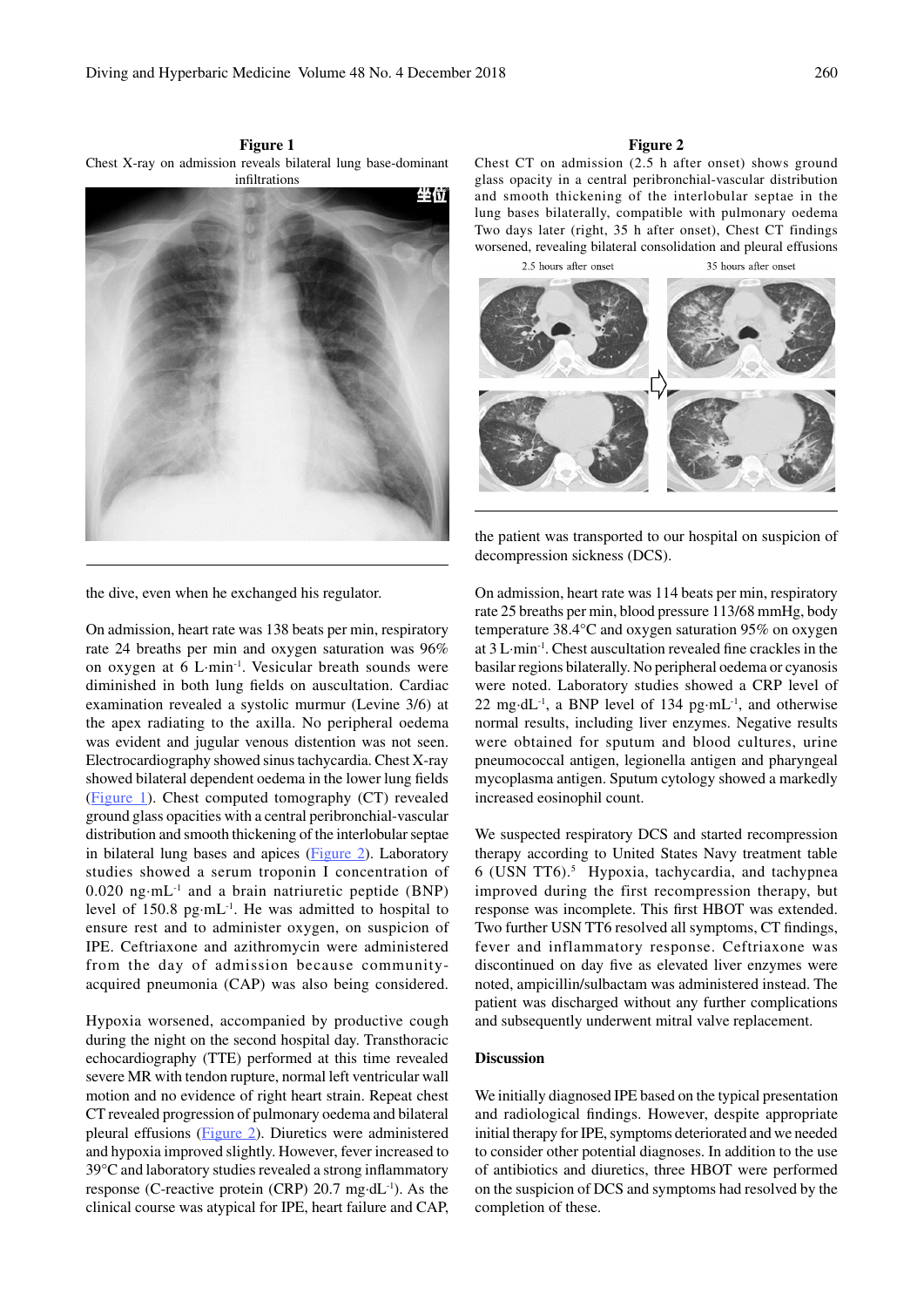**Figure 1** Chest X-ray on admission reveals bilateral lung base-dominant infiltrations



**Figure 2**

Chest CT on admission (2.5 h after onset) shows ground glass opacity in a central peribronchial-vascular distribution and smooth thickening of the interlobular septae in the lung bases bilaterally, compatible with pulmonary oedema Two days later (right, 35 h after onset), Chest CT findings worsened, revealing bilateral consolidation and pleural effusions

2.5 hours after onset 35 hours after onset



the patient was transported to our hospital on suspicion of decompression sickness (DCS).

On admission, heart rate was 114 beats per min, respiratory rate 25 breaths per min, blood pressure 113/68 mmHg, body temperature 38.4°C and oxygen saturation 95% on oxygen at 3 L·min-1. Chest auscultation revealed fine crackles in the basilar regions bilaterally. No peripheral oedema or cyanosis were noted. Laboratory studies showed a CRP level of 22 mg·dL<sup>-1</sup>, a BNP level of 134 pg·mL<sup>-1</sup>, and otherwise normal results, including liver enzymes. Negative results were obtained for sputum and blood cultures, urine pneumococcal antigen, legionella antigen and pharyngeal mycoplasma antigen. Sputum cytology showed a markedly increased eosinophil count.

We suspected respiratory DCS and started recompression therapy according to United States Navy treatment table 6 (USN TT6).5 Hypoxia, tachycardia, and tachypnea improved during the first recompression therapy, but response was incomplete. This first HBOT was extended. Two further USN TT6 resolved all symptoms, CT findings, fever and inflammatory response. Ceftriaxone was discontinued on day five as elevated liver enzymes were noted, ampicillin/sulbactam was administered instead. The patient was discharged without any further complications and subsequently underwent mitral valve replacement.

# **Discussion**

We initially diagnosed IPE based on the typical presentation and radiological findings. However, despite appropriate initial therapy for IPE, symptoms deteriorated and we needed to consider other potential diagnoses. In addition to the use of antibiotics and diuretics, three HBOT were performed on the suspicion of DCS and symptoms had resolved by the completion of these.

the dive, even when he exchanged his regulator.

On admission, heart rate was 138 beats per min, respiratory rate 24 breaths per min and oxygen saturation was 96% on oxygen at 6 L·min-1. Vesicular breath sounds were diminished in both lung fields on auscultation. Cardiac examination revealed a systolic murmur (Levine 3/6) at the apex radiating to the axilla. No peripheral oedema was evident and jugular venous distention was not seen. Electrocardiography showed sinus tachycardia. Chest X-ray showed bilateral dependent oedema in the lower lung fields (Figure 1). Chest computed tomography (CT) revealed ground glass opacities with a central peribronchial-vascular distribution and smooth thickening of the interlobular septae in bilateral lung bases and apices (Figure 2). Laboratory studies showed a serum troponin I concentration of 0.020 ng·mL-1 and a brain natriuretic peptide (BNP) level of  $150.8$  pg·mL<sup>-1</sup>. He was admitted to hospital to ensure rest and to administer oxygen, on suspicion of IPE. Ceftriaxone and azithromycin were administered from the day of admission because communityacquired pneumonia (CAP) was also being considered.

Hypoxia worsened, accompanied by productive cough during the night on the second hospital day. Transthoracic echocardiography (TTE) performed at this time revealed severe MR with tendon rupture, normal left ventricular wall motion and no evidence of right heart strain. Repeat chest CT revealed progression of pulmonary oedema and bilateral pleural effusions (Figure 2). Diuretics were administered and hypoxia improved slightly. However, fever increased to 39°C and laboratory studies revealed a strong inflammatory response (C-reactive protein (CRP) 20.7 mg·dL-1). As the clinical course was atypical for IPE, heart failure and CAP,